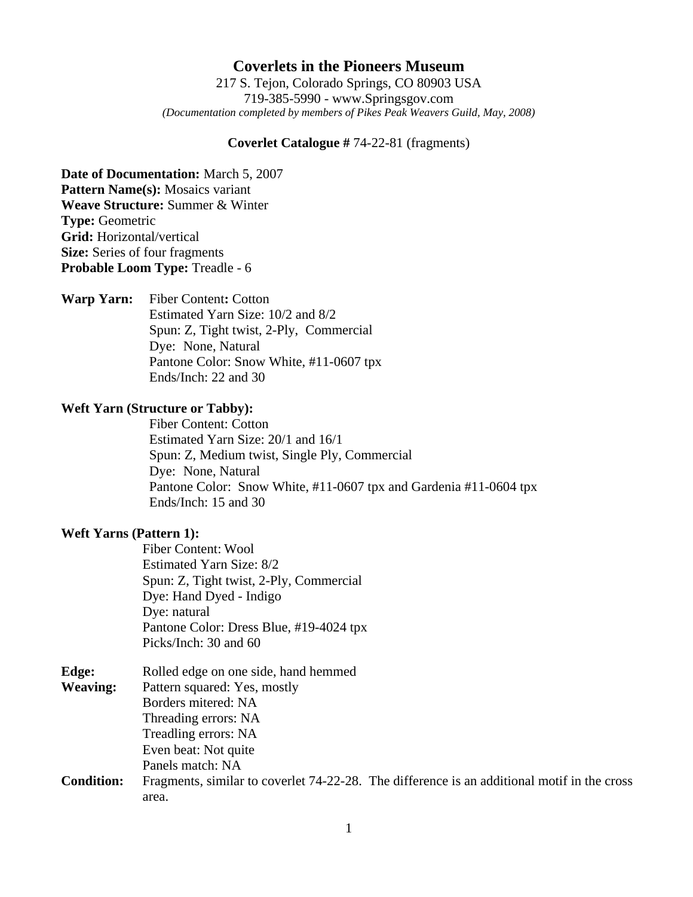## **Coverlets in the Pioneers Museum**

217 S. Tejon, Colorado Springs, CO 80903 USA 719-385-5990 - www.Springsgov.com *(Documentation completed by members of Pikes Peak Weavers Guild, May, 2008)* 

#### **Coverlet Catalogue #** 74-22-81 (fragments)

**Date of Documentation:** March 5, 2007 **Pattern Name(s):** Mosaics variant **Weave Structure:** Summer & Winter **Type:** Geometric **Grid:** Horizontal/vertical **Size:** Series of four fragments **Probable Loom Type:** Treadle - 6

**Warp Yarn:** Fiber Content**:** Cotton Estimated Yarn Size: 10/2 and 8/2 Spun: Z, Tight twist, 2-Ply, Commercial Dye: None, Natural Pantone Color: Snow White, #11-0607 tpx Ends/Inch: 22 and 30

### **Weft Yarn (Structure or Tabby):**

 Fiber Content: Cotton Estimated Yarn Size: 20/1 and 16/1 Spun: Z, Medium twist, Single Ply, Commercial Dye: None, Natural Pantone Color: Snow White, #11-0607 tpx and Gardenia #11-0604 tpx Ends/Inch: 15 and 30

#### **Weft Yarns (Pattern 1):**

 Fiber Content: Wool Estimated Yarn Size: 8/2 Spun: Z, Tight twist, 2-Ply, Commercial Dye: Hand Dyed - Indigo Dye: natural Pantone Color: Dress Blue, #19-4024 tpx Picks/Inch: 30 and 60

| Edge:             | Rolled edge on one side, hand hemmed                                                        |
|-------------------|---------------------------------------------------------------------------------------------|
| <b>Weaving:</b>   | Pattern squared: Yes, mostly                                                                |
|                   | Borders mitered: NA                                                                         |
|                   | Threading errors: NA                                                                        |
|                   | Treadling errors: NA                                                                        |
|                   | Even beat: Not quite                                                                        |
|                   | Panels match: NA                                                                            |
| <b>Condition:</b> | Fragments, similar to coverlet 74-22-28. The difference is an additional motif in the cross |
|                   | area.                                                                                       |